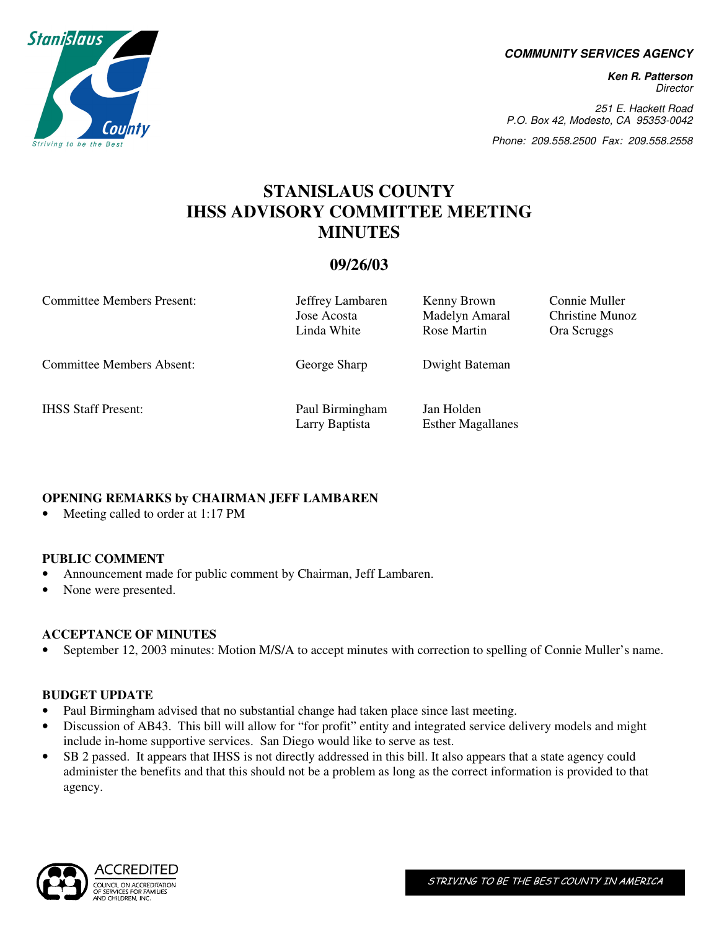**COMMUNITY SERVICES AGENCY** 

**Ken R. Patterson**  Director

251 E. Hackett Road P.O. Box 42, Modesto, CA 95353-0042

Phone: 209.558.2500 Fax: 209.558.2558

# **STANISLAUS COUNTY IHSS ADVISORY COMMITTEE MEETING MINUTES**

# **09/26/03**

Committee Members Present: Jeffrey Lambaren Kenny Brown Connie Muller

Committee Members Absent: George Sharp Dwight Bateman

IHSS Staff Present: Paul Birmingham Jan Holden Larry Baptista Esther Magallanes

 Jose Acosta Madelyn Amaral Christine Munoz Linda White Rose Martin Ora Scruggs

## **OPENING REMARKS by CHAIRMAN JEFF LAMBAREN**

• Meeting called to order at 1:17 PM

## **PUBLIC COMMENT**

- Announcement made for public comment by Chairman, Jeff Lambaren.
- None were presented.

## **ACCEPTANCE OF MINUTES**

• September 12, 2003 minutes: Motion M/S/A to accept minutes with correction to spelling of Connie Muller's name.

#### **BUDGET UPDATE**

- Paul Birmingham advised that no substantial change had taken place since last meeting.
- Discussion of AB43. This bill will allow for "for profit" entity and integrated service delivery models and might include in-home supportive services. San Diego would like to serve as test.
- SB 2 passed. It appears that IHSS is not directly addressed in this bill. It also appears that a state agency could administer the benefits and that this should not be a problem as long as the correct information is provided to that agency.



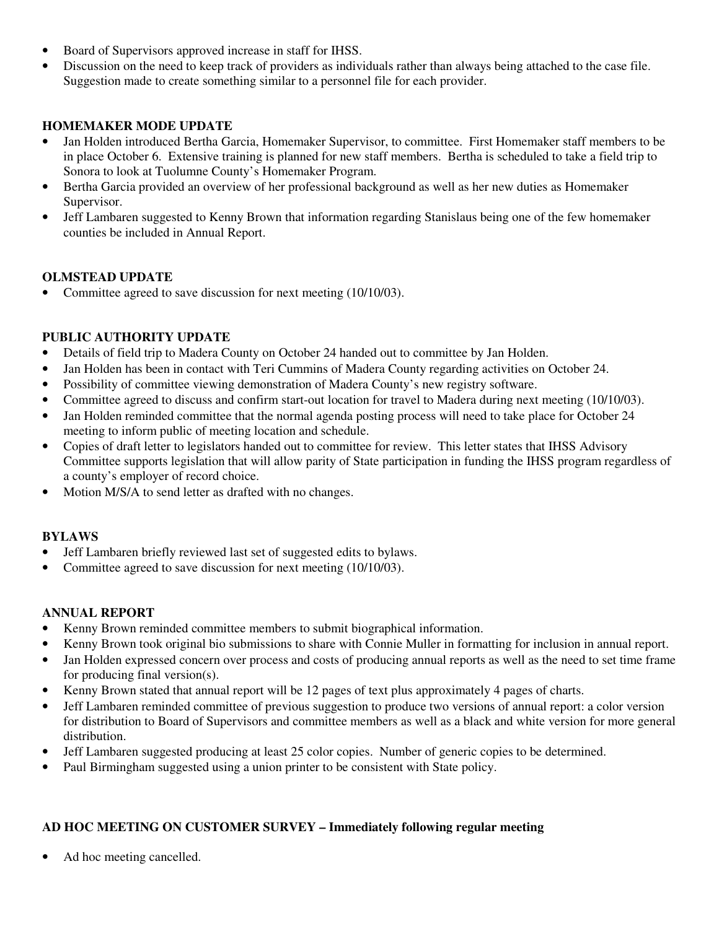- Board of Supervisors approved increase in staff for IHSS.
- Discussion on the need to keep track of providers as individuals rather than always being attached to the case file. Suggestion made to create something similar to a personnel file for each provider.

## **HOMEMAKER MODE UPDATE**

- Jan Holden introduced Bertha Garcia, Homemaker Supervisor, to committee. First Homemaker staff members to be in place October 6. Extensive training is planned for new staff members. Bertha is scheduled to take a field trip to Sonora to look at Tuolumne County's Homemaker Program.
- Bertha Garcia provided an overview of her professional background as well as her new duties as Homemaker Supervisor.
- Jeff Lambaren suggested to Kenny Brown that information regarding Stanislaus being one of the few homemaker counties be included in Annual Report.

#### **OLMSTEAD UPDATE**

• Committee agreed to save discussion for next meeting (10/10/03).

## **PUBLIC AUTHORITY UPDATE**

- Details of field trip to Madera County on October 24 handed out to committee by Jan Holden.
- Jan Holden has been in contact with Teri Cummins of Madera County regarding activities on October 24.
- Possibility of committee viewing demonstration of Madera County's new registry software.
- Committee agreed to discuss and confirm start-out location for travel to Madera during next meeting (10/10/03).
- Jan Holden reminded committee that the normal agenda posting process will need to take place for October 24 meeting to inform public of meeting location and schedule.
- Copies of draft letter to legislators handed out to committee for review. This letter states that IHSS Advisory Committee supports legislation that will allow parity of State participation in funding the IHSS program regardless of a county's employer of record choice.
- Motion M/S/A to send letter as drafted with no changes.

## **BYLAWS**

- Jeff Lambaren briefly reviewed last set of suggested edits to bylaws.
- Committee agreed to save discussion for next meeting (10/10/03).

## **ANNUAL REPORT**

- Kenny Brown reminded committee members to submit biographical information.
- Kenny Brown took original bio submissions to share with Connie Muller in formatting for inclusion in annual report.
- Jan Holden expressed concern over process and costs of producing annual reports as well as the need to set time frame for producing final version(s).
- Kenny Brown stated that annual report will be 12 pages of text plus approximately 4 pages of charts.
- Jeff Lambaren reminded committee of previous suggestion to produce two versions of annual report: a color version for distribution to Board of Supervisors and committee members as well as a black and white version for more general distribution.
- Jeff Lambaren suggested producing at least 25 color copies. Number of generic copies to be determined.
- Paul Birmingham suggested using a union printer to be consistent with State policy.

## **AD HOC MEETING ON CUSTOMER SURVEY – Immediately following regular meeting**

Ad hoc meeting cancelled.